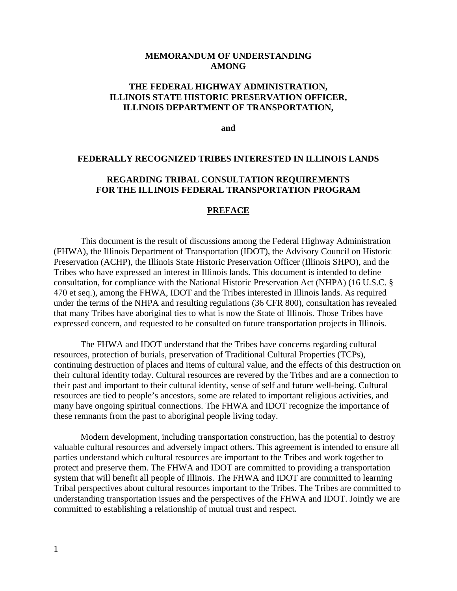#### **MEMORANDUM OF UNDERSTANDING AMONG**

### **THE FEDERAL HIGHWAY ADMINISTRATION, ILLINOIS STATE HISTORIC PRESERVATION OFFICER, ILLINOIS DEPARTMENT OF TRANSPORTATION,**

**and** 

#### **FEDERALLY RECOGNIZED TRIBES INTERESTED IN ILLINOIS LANDS**

#### **REGARDING TRIBAL CONSULTATION REQUIREMENTS FOR THE ILLINOIS FEDERAL TRANSPORTATION PROGRAM**

#### **PREFACE**

 This document is the result of discussions among the Federal Highway Administration (FHWA), the Illinois Department of Transportation (IDOT), the Advisory Council on Historic Preservation (ACHP), the Illinois State Historic Preservation Officer (Illinois SHPO), and the Tribes who have expressed an interest in Illinois lands. This document is intended to define consultation, for compliance with the National Historic Preservation Act (NHPA) (16 U.S.C. § 470 et seq.), among the FHWA, IDOT and the Tribes interested in Illinois lands. As required under the terms of the NHPA and resulting regulations (36 CFR 800), consultation has revealed that many Tribes have aboriginal ties to what is now the State of Illinois. Those Tribes have expressed concern, and requested to be consulted on future transportation projects in Illinois.

 The FHWA and IDOT understand that the Tribes have concerns regarding cultural resources, protection of burials, preservation of Traditional Cultural Properties (TCPs), continuing destruction of places and items of cultural value, and the effects of this destruction on their cultural identity today. Cultural resources are revered by the Tribes and are a connection to their past and important to their cultural identity, sense of self and future well-being. Cultural resources are tied to people's ancestors, some are related to important religious activities, and many have ongoing spiritual connections. The FHWA and IDOT recognize the importance of these remnants from the past to aboriginal people living today.

 Modern development, including transportation construction, has the potential to destroy valuable cultural resources and adversely impact others. This agreement is intended to ensure all parties understand which cultural resources are important to the Tribes and work together to protect and preserve them. The FHWA and IDOT are committed to providing a transportation system that will benefit all people of Illinois. The FHWA and IDOT are committed to learning Tribal perspectives about cultural resources important to the Tribes. The Tribes are committed to understanding transportation issues and the perspectives of the FHWA and IDOT. Jointly we are committed to establishing a relationship of mutual trust and respect.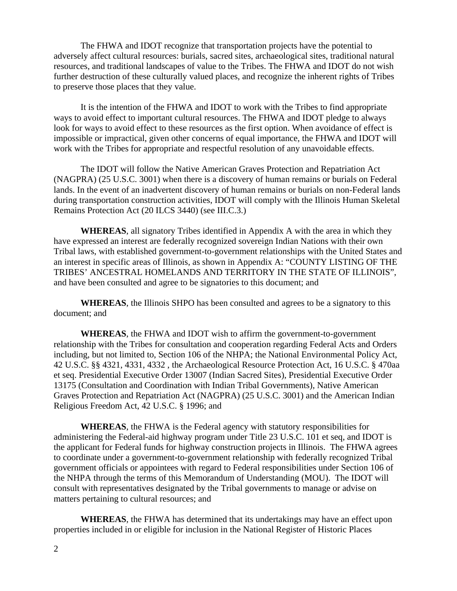The FHWA and IDOT recognize that transportation projects have the potential to adversely affect cultural resources: burials, sacred sites, archaeological sites, traditional natural resources, and traditional landscapes of value to the Tribes. The FHWA and IDOT do not wish further destruction of these culturally valued places, and recognize the inherent rights of Tribes to preserve those places that they value.

 It is the intention of the FHWA and IDOT to work with the Tribes to find appropriate ways to avoid effect to important cultural resources. The FHWA and IDOT pledge to always look for ways to avoid effect to these resources as the first option. When avoidance of effect is impossible or impractical, given other concerns of equal importance, the FHWA and IDOT will work with the Tribes for appropriate and respectful resolution of any unavoidable effects.

 The IDOT will follow the Native American Graves Protection and Repatriation Act (NAGPRA) (25 U.S.C. 3001) when there is a discovery of human remains or burials on Federal lands. In the event of an inadvertent discovery of human remains or burials on non-Federal lands during transportation construction activities, IDOT will comply with the Illinois Human Skeletal Remains Protection Act (20 ILCS 3440) (see III.C.3.)

**WHEREAS**, all signatory Tribes identified in Appendix A with the area in which they have expressed an interest are federally recognized sovereign Indian Nations with their own Tribal laws, with established government-to-government relationships with the United States and an interest in specific areas of Illinois, as shown in Appendix A: "COUNTY LISTING OF THE TRIBES' ANCESTRAL HOMELANDS AND TERRITORY IN THE STATE OF ILLINOIS", and have been consulted and agree to be signatories to this document; and

**WHEREAS**, the Illinois SHPO has been consulted and agrees to be a signatory to this document; and

**WHEREAS**, the FHWA and IDOT wish to affirm the government-to-government relationship with the Tribes for consultation and cooperation regarding Federal Acts and Orders including, but not limited to, Section 106 of the NHPA; the National Environmental Policy Act, 42 U.S.C. §§ 4321, 4331, 4332 , the Archaeological Resource Protection Act, 16 U.S.C. § 470aa et seq. Presidential Executive Order 13007 (Indian Sacred Sites), Presidential Executive Order 13175 (Consultation and Coordination with Indian Tribal Governments), Native American Graves Protection and Repatriation Act (NAGPRA) (25 U.S.C. 3001) and the American Indian Religious Freedom Act, 42 U.S.C. § 1996; and

**WHEREAS**, the FHWA is the Federal agency with statutory responsibilities for administering the Federal-aid highway program under Title 23 U.S.C. 101 et seq, and IDOT is the applicant for Federal funds for highway construction projects in Illinois. The FHWA agrees to coordinate under a government-to-government relationship with federally recognized Tribal government officials or appointees with regard to Federal responsibilities under Section 106 of the NHPA through the terms of this Memorandum of Understanding (MOU). The IDOT will consult with representatives designated by the Tribal governments to manage or advise on matters pertaining to cultural resources; and

**WHEREAS**, the FHWA has determined that its undertakings may have an effect upon properties included in or eligible for inclusion in the National Register of Historic Places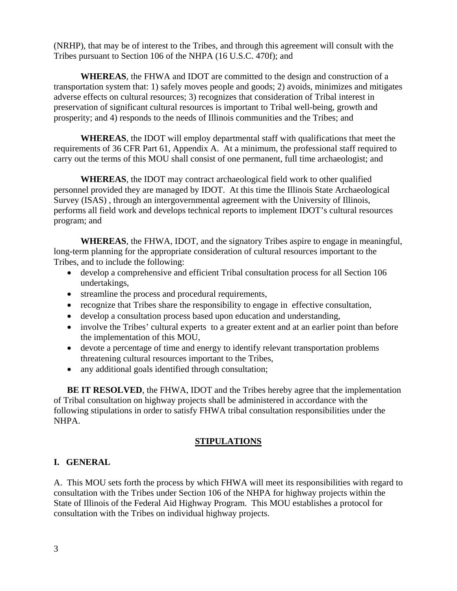(NRHP), that may be of interest to the Tribes, and through this agreement will consult with the Tribes pursuant to Section 106 of the NHPA (16 U.S.C. 470f); and

**WHEREAS**, the FHWA and IDOT are committed to the design and construction of a transportation system that: 1) safely moves people and goods; 2) avoids, minimizes and mitigates adverse effects on cultural resources; 3) recognizes that consideration of Tribal interest in preservation of significant cultural resources is important to Tribal well-being, growth and prosperity; and 4) responds to the needs of Illinois communities and the Tribes; and

**WHEREAS**, the IDOT will employ departmental staff with qualifications that meet the requirements of 36 CFR Part 61, Appendix A. At a minimum, the professional staff required to carry out the terms of this MOU shall consist of one permanent, full time archaeologist; and

**WHEREAS**, the IDOT may contract archaeological field work to other qualified personnel provided they are managed by IDOT. At this time the Illinois State Archaeological Survey (ISAS) , through an intergovernmental agreement with the University of Illinois, performs all field work and develops technical reports to implement IDOT's cultural resources program; and

**WHEREAS**, the FHWA, IDOT, and the signatory Tribes aspire to engage in meaningful, long-term planning for the appropriate consideration of cultural resources important to the Tribes, and to include the following:

- develop a comprehensive and efficient Tribal consultation process for all Section 106 undertakings,
- streamline the process and procedural requirements,
- recognize that Tribes share the responsibility to engage in effective consultation,
- develop a consultation process based upon education and understanding,
- involve the Tribes' cultural experts to a greater extent and at an earlier point than before the implementation of this MOU,
- devote a percentage of time and energy to identify relevant transportation problems threatening cultural resources important to the Tribes,
- any additional goals identified through consultation;

**BE IT RESOLVED**, the FHWA, IDOT and the Tribes hereby agree that the implementation of Tribal consultation on highway projects shall be administered in accordance with the following stipulations in order to satisfy FHWA tribal consultation responsibilities under the NHPA.

# **STIPULATIONS**

# **I. GENERAL**

A. This MOU sets forth the process by which FHWA will meet its responsibilities with regard to consultation with the Tribes under Section 106 of the NHPA for highway projects within the State of Illinois of the Federal Aid Highway Program. This MOU establishes a protocol for consultation with the Tribes on individual highway projects.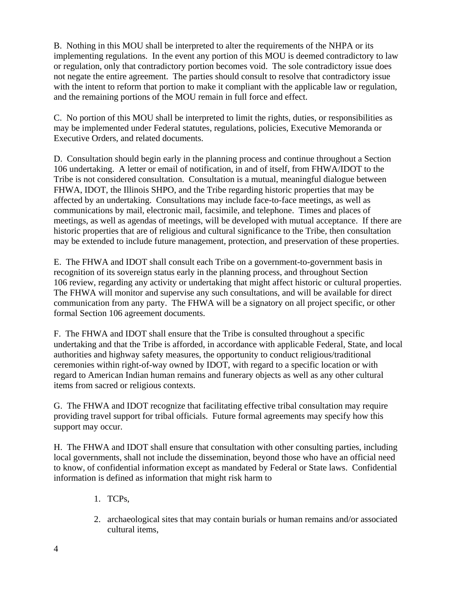B. Nothing in this MOU shall be interpreted to alter the requirements of the NHPA or its implementing regulations. In the event any portion of this MOU is deemed contradictory to law or regulation, only that contradictory portion becomes void. The sole contradictory issue does not negate the entire agreement. The parties should consult to resolve that contradictory issue with the intent to reform that portion to make it compliant with the applicable law or regulation, and the remaining portions of the MOU remain in full force and effect.

C. No portion of this MOU shall be interpreted to limit the rights, duties, or responsibilities as may be implemented under Federal statutes, regulations, policies, Executive Memoranda or Executive Orders, and related documents.

D. Consultation should begin early in the planning process and continue throughout a Section 106 undertaking. A letter or email of notification, in and of itself, from FHWA/IDOT to the Tribe is not considered consultation. Consultation is a mutual, meaningful dialogue between FHWA, IDOT, the Illinois SHPO, and the Tribe regarding historic properties that may be affected by an undertaking. Consultations may include face-to-face meetings, as well as communications by mail, electronic mail, facsimile, and telephone. Times and places of meetings, as well as agendas of meetings, will be developed with mutual acceptance. If there are historic properties that are of religious and cultural significance to the Tribe, then consultation may be extended to include future management, protection, and preservation of these properties.

E. The FHWA and IDOT shall consult each Tribe on a government-to-government basis in recognition of its sovereign status early in the planning process, and throughout Section 106 review, regarding any activity or undertaking that might affect historic or cultural properties. The FHWA will monitor and supervise any such consultations, and will be available for direct communication from any party. The FHWA will be a signatory on all project specific, or other formal Section 106 agreement documents.

F. The FHWA and IDOT shall ensure that the Tribe is consulted throughout a specific undertaking and that the Tribe is afforded, in accordance with applicable Federal, State, and local authorities and highway safety measures, the opportunity to conduct religious/traditional ceremonies within right-of-way owned by IDOT, with regard to a specific location or with regard to American Indian human remains and funerary objects as well as any other cultural items from sacred or religious contexts.

G. The FHWA and IDOT recognize that facilitating effective tribal consultation may require providing travel support for tribal officials. Future formal agreements may specify how this support may occur.

H. The FHWA and IDOT shall ensure that consultation with other consulting parties, including local governments, shall not include the dissemination, beyond those who have an official need to know, of confidential information except as mandated by Federal or State laws. Confidential information is defined as information that might risk harm to

- 1. TCPs,
- 2. archaeological sites that may contain burials or human remains and/or associated cultural items,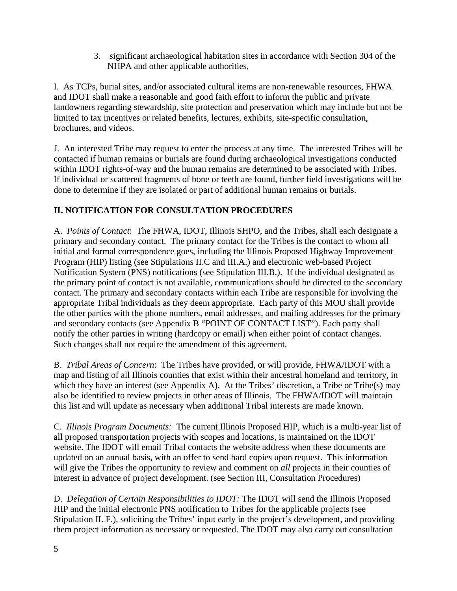3. significant archaeological habitation sites in accordance with Section 304 of the NHPA and other applicable authorities,

I. As TCPs, burial sites, and/or associated cultural items are non-renewable resources, FHWA and IDOT shall make a reasonable and good faith effort to inform the public and private landowners regarding stewardship, site protection and preservation which may include but not be limited to tax incentives or related benefits, lectures, exhibits, site-specific consultation, brochures, and videos.

J. An interested Tribe may request to enter the process at any time. The interested Tribes will be contacted if human remains or burials are found during archaeological investigations conducted within IDOT rights-of-way and the human remains are determined to be associated with Tribes. If individual or scattered fragments of bone or teeth are found, further field investigations will be done to determine if they are isolated or part of additional human remains or burials.

# **II. NOTIFICATION FOR CONSULTATION PROCEDURES**

A. *Points of Contact*: The FHWA, IDOT, Illinois SHPO, and the Tribes, shall each designate a primary and secondary contact. The primary contact for the Tribes is the contact to whom all initial and formal correspondence goes, including the Illinois Proposed Highway Improvement Program (HIP) listing (see Stipulations II.C and III.A.) and electronic web-based Project Notification System (PNS) notifications (see Stipulation III.B.). If the individual designated as the primary point of contact is not available, communications should be directed to the secondary contact. The primary and secondary contacts within each Tribe are responsible for involving the appropriate Tribal individuals as they deem appropriate. Each party of this MOU shall provide the other parties with the phone numbers, email addresses, and mailing addresses for the primary and secondary contacts (see Appendix B "POINT OF CONTACT LIST"). Each party shall notify the other parties in writing (hardcopy or email) when either point of contact changes. Such changes shall not require the amendment of this agreement.

B. *Tribal Areas of Concern*: The Tribes have provided, or will provide, FHWA/IDOT with a map and listing of all Illinois counties that exist within their ancestral homeland and territory, in which they have an interest (see Appendix A). At the Tribes' discretion, a Tribe or Tribe(s) may also be identified to review projects in other areas of Illinois. The FHWA/IDOT will maintain this list and will update as necessary when additional Tribal interests are made known.

C. *Illinois Program Documents:* The current Illinois Proposed HIP, which is a multi-year list of all proposed transportation projects with scopes and locations, is maintained on the IDOT website. The IDOT will email Tribal contacts the website address when these documents are updated on an annual basis, with an offer to send hard copies upon request. This information will give the Tribes the opportunity to review and comment on *all* projects in their counties of interest in advance of project development. (see Section III, Consultation Procedures)

D. *Delegation of Certain Responsibilities to IDOT:* The IDOT will send the Illinois Proposed HIP and the initial electronic PNS notification to Tribes for the applicable projects (see Stipulation II. F.), soliciting the Tribes' input early in the project's development, and providing them project information as necessary or requested. The IDOT may also carry out consultation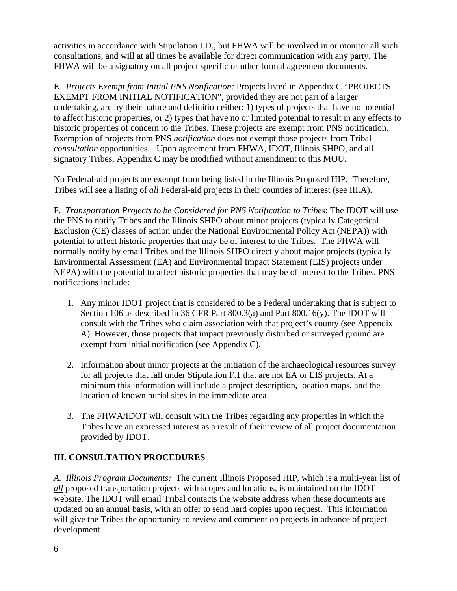activities in accordance with Stipulation I.D., but FHWA will be involved in or monitor all such consultations, and will at all times be available for direct communication with any party. The FHWA will be a signatory on all project specific or other formal agreement documents.

E. *Projects Exempt from Initial PNS Notification:* Projects listed in Appendix C "PROJECTS EXEMPT FROM INITIAL NOTIFICATION", provided they are not part of a larger undertaking, are by their nature and definition either: 1) types of projects that have no potential to affect historic properties, or 2) types that have no or limited potential to result in any effects to historic properties of concern to the Tribes. These projects are exempt from PNS notification. Exemption of projects from PNS *notification* does not exempt those projects from Tribal *consultation* opportunities. Upon agreement from FHWA, IDOT, Illinois SHPO, and all signatory Tribes, Appendix C may be modified without amendment to this MOU.

No Federal-aid projects are exempt from being listed in the Illinois Proposed HIP. Therefore, Tribes will see a listing of *all* Federal-aid projects in their counties of interest (see III.A).

F. *Transportation Projects to be Considered for PNS Notification to Tribes*: The IDOT will use the PNS to notify Tribes and the Illinois SHPO about minor projects (typically Categorical Exclusion (CE) classes of action under the National Environmental Policy Act (NEPA)) with potential to affect historic properties that may be of interest to the Tribes. The FHWA will normally notify by email Tribes and the Illinois SHPO directly about major projects (typically Environmental Assessment (EA) and Environmental Impact Statement (EIS) projects under NEPA) with the potential to affect historic properties that may be of interest to the Tribes. PNS notifications include:

- 1. Any minor IDOT project that is considered to be a Federal undertaking that is subject to Section 106 as described in 36 CFR Part  $800.3(a)$  and Part  $800.16(y)$ . The IDOT will consult with the Tribes who claim association with that project's county (see Appendix A). However, those projects that impact previously disturbed or surveyed ground are exempt from initial notification (see Appendix C).
- 2. Information about minor projects at the initiation of the archaeological resources survey for all projects that fall under Stipulation F.1 that are not EA or EIS projects. At a minimum this information will include a project description, location maps, and the location of known burial sites in the immediate area.
- 3. The FHWA/IDOT will consult with the Tribes regarding any properties in which the Tribes have an expressed interest as a result of their review of all project documentation provided by IDOT.

# **III. CONSULTATION PROCEDURES**

*A. Illinois Program Documents:* The current Illinois Proposed HIP, which is a multi-year list of *all* proposed transportation projects with scopes and locations, is maintained on the IDOT website. The IDOT will email Tribal contacts the website address when these documents are updated on an annual basis, with an offer to send hard copies upon request. This information will give the Tribes the opportunity to review and comment on projects in advance of project development.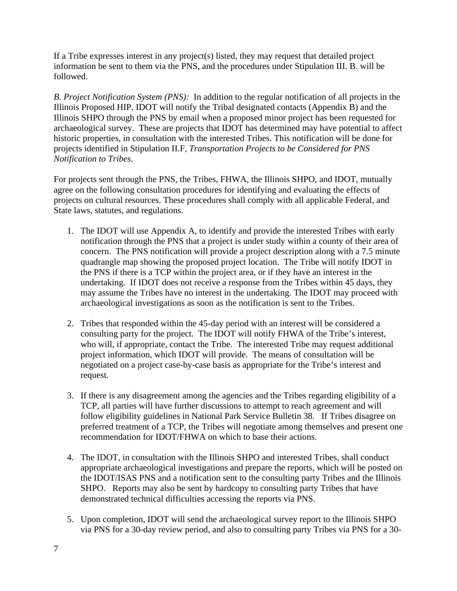If a Tribe expresses interest in any project(s) listed, they may request that detailed project information be sent to them via the PNS, and the procedures under Stipulation III. B. will be followed.

*B. Project Notification System (PNS):* In addition to the regular notification of all projects in the Illinois Proposed HIP, IDOT will notify the Tribal designated contacts (Appendix B) and the Illinois SHPO through the PNS by email when a proposed minor project has been requested for archaeological survey. These are projects that IDOT has determined may have potential to affect historic properties, in consultation with the interested Tribes. This notification will be done for projects identified in Stipulation II.F, *Transportation Projects to be Considered for PNS Notification to Tribes*.

For projects sent through the PNS, the Tribes, FHWA, the Illinois SHPO, and IDOT, mutually agree on the following consultation procedures for identifying and evaluating the effects of projects on cultural resources. These procedures shall comply with all applicable Federal, and State laws, statutes, and regulations.

- 1. The IDOT will use Appendix A*,* to identify and provide the interested Tribes with early notification through the PNS that a project is under study within a county of their area of concern. The PNS notification will provide a project description along with a 7.5 minute quadrangle map showing the proposed project location. The Tribe will notify IDOT in the PNS if there is a TCP within the project area, or if they have an interest in the undertaking. If IDOT does not receive a response from the Tribes within 45 days, they may assume the Tribes have no interest in the undertaking. The IDOT may proceed with archaeological investigations as soon as the notification is sent to the Tribes.
- 2. Tribes that responded within the 45-day period with an interest will be considered a consulting party for the project. The IDOT will notify FHWA of the Tribe's interest, who will, if appropriate, contact the Tribe. The interested Tribe may request additional project information, which IDOT will provide. The means of consultation will be negotiated on a project case-by-case basis as appropriate for the Tribe's interest and request.
- 3. If there is any disagreement among the agencies and the Tribes regarding eligibility of a TCP, all parties will have further discussions to attempt to reach agreement and will follow eligibility guidelines in National Park Service Bulletin 38. If Tribes disagree on preferred treatment of a TCP, the Tribes will negotiate among themselves and present one recommendation for IDOT/FHWA on which to base their actions.
- 4. The IDOT, in consultation with the Illinois SHPO and interested Tribes, shall conduct appropriate archaeological investigations and prepare the reports, which will be posted on the IDOT/ISAS PNS and a notification sent to the consulting party Tribes and the Illinois SHPO. Reports may also be sent by hardcopy to consulting party Tribes that have demonstrated technical difficulties accessing the reports via PNS.
- 5. Upon completion, IDOT will send the archaeological survey report to the Illinois SHPO via PNS for a 30-day review period, and also to consulting party Tribes via PNS for a 30-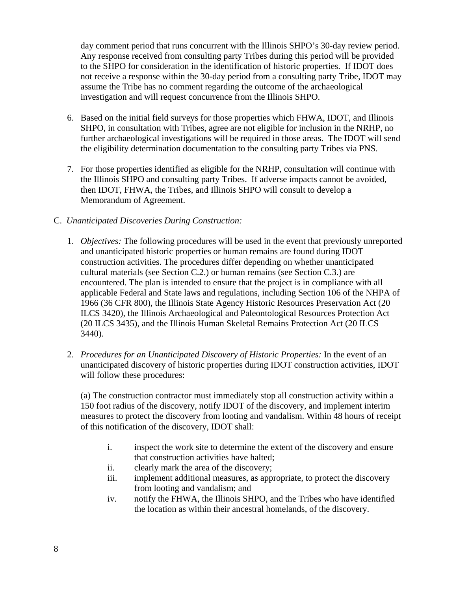day comment period that runs concurrent with the Illinois SHPO's 30-day review period. Any response received from consulting party Tribes during this period will be provided to the SHPO for consideration in the identification of historic properties. If IDOT does not receive a response within the 30-day period from a consulting party Tribe, IDOT may assume the Tribe has no comment regarding the outcome of the archaeological investigation and will request concurrence from the Illinois SHPO.

- 6. Based on the initial field surveys for those properties which FHWA, IDOT, and Illinois SHPO, in consultation with Tribes, agree are not eligible for inclusion in the NRHP, no further archaeological investigations will be required in those areas. The IDOT will send the eligibility determination documentation to the consulting party Tribes via PNS.
- 7. For those properties identified as eligible for the NRHP, consultation will continue with the Illinois SHPO and consulting party Tribes. If adverse impacts cannot be avoided, then IDOT, FHWA, the Tribes, and Illinois SHPO will consult to develop a Memorandum of Agreement.

### C. *Unanticipated Discoveries During Construction:*

- 1. *Objectives:* The following procedures will be used in the event that previously unreported and unanticipated historic properties or human remains are found during IDOT construction activities. The procedures differ depending on whether unanticipated cultural materials (see Section C.2.) or human remains (see Section C.3.) are encountered. The plan is intended to ensure that the project is in compliance with all applicable Federal and State laws and regulations, including Section 106 of the NHPA of 1966 (36 CFR 800), the Illinois State Agency Historic Resources Preservation Act (20 ILCS 3420), the Illinois Archaeological and Paleontological Resources Protection Act (20 ILCS 3435), and the Illinois Human Skeletal Remains Protection Act (20 ILCS 3440).
- 2. *Procedures for an Unanticipated Discovery of Historic Properties:* In the event of an unanticipated discovery of historic properties during IDOT construction activities, IDOT will follow these procedures:

(a) The construction contractor must immediately stop all construction activity within a 150 foot radius of the discovery, notify IDOT of the discovery, and implement interim measures to protect the discovery from looting and vandalism. Within 48 hours of receipt of this notification of the discovery, IDOT shall:

- i. inspect the work site to determine the extent of the discovery and ensure that construction activities have halted;
- ii. clearly mark the area of the discovery;
- iii. implement additional measures, as appropriate, to protect the discovery from looting and vandalism; and
- iv. notify the FHWA, the Illinois SHPO, and the Tribes who have identified the location as within their ancestral homelands, of the discovery.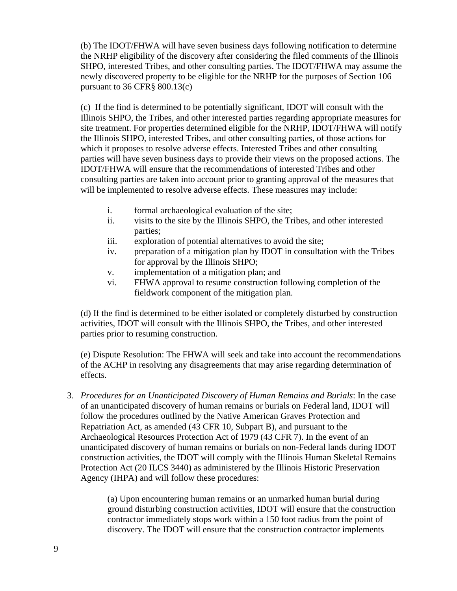(b) The IDOT/FHWA will have seven business days following notification to determine the NRHP eligibility of the discovery after considering the filed comments of the Illinois SHPO, interested Tribes, and other consulting parties. The IDOT/FHWA may assume the newly discovered property to be eligible for the NRHP for the purposes of Section 106 pursuant to 36 CFR§ 800.13(c)

(c) If the find is determined to be potentially significant, IDOT will consult with the Illinois SHPO, the Tribes, and other interested parties regarding appropriate measures for site treatment. For properties determined eligible for the NRHP, IDOT/FHWA will notify the Illinois SHPO, interested Tribes, and other consulting parties, of those actions for which it proposes to resolve adverse effects. Interested Tribes and other consulting parties will have seven business days to provide their views on the proposed actions. The IDOT/FHWA will ensure that the recommendations of interested Tribes and other consulting parties are taken into account prior to granting approval of the measures that will be implemented to resolve adverse effects. These measures may include:

- i. formal archaeological evaluation of the site;
- ii. visits to the site by the Illinois SHPO, the Tribes, and other interested parties;
- iii. exploration of potential alternatives to avoid the site;
- iv. preparation of a mitigation plan by IDOT in consultation with the Tribes for approval by the Illinois SHPO;
- v. implementation of a mitigation plan; and
- vi. FHWA approval to resume construction following completion of the fieldwork component of the mitigation plan.

(d) If the find is determined to be either isolated or completely disturbed by construction activities, IDOT will consult with the Illinois SHPO, the Tribes, and other interested parties prior to resuming construction.

(e) Dispute Resolution: The FHWA will seek and take into account the recommendations of the ACHP in resolving any disagreements that may arise regarding determination of effects.

3. *Procedures for an Unanticipated Discovery of Human Remains and Burials*: In the case of an unanticipated discovery of human remains or burials on Federal land, IDOT will follow the procedures outlined by the Native American Graves Protection and Repatriation Act, as amended (43 CFR 10, Subpart B), and pursuant to the Archaeological Resources Protection Act of 1979 (43 CFR 7). In the event of an unanticipated discovery of human remains or burials on non-Federal lands during IDOT construction activities, the IDOT will comply with the Illinois Human Skeletal Remains Protection Act (20 ILCS 3440) as administered by the Illinois Historic Preservation Agency (IHPA) and will follow these procedures:

> (a) Upon encountering human remains or an unmarked human burial during ground disturbing construction activities, IDOT will ensure that the construction contractor immediately stops work within a 150 foot radius from the point of discovery. The IDOT will ensure that the construction contractor implements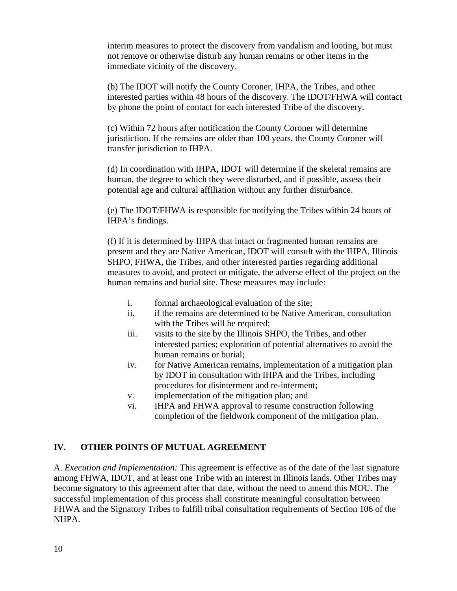interim measures to protect the discovery from vandalism and looting, but must not remove or otherwise disturb any human remains or other items in the immediate vicinity of the discovery.

(b) The IDOT will notify the County Coroner, IHPA, the Tribes, and other interested parties within 48 hours of the discovery. The IDOT/FHWA will contact by phone the point of contact for each interested Tribe of the discovery.

(c) Within 72 hours after notification the County Coroner will determine jurisdiction. If the remains are older than 100 years, the County Coroner will transfer jurisdiction to IHPA.

(d) In coordination with IHPA, IDOT will determine if the skeletal remains are human, the degree to which they were disturbed, and if possible, assess their potential age and cultural affiliation without any further disturbance.

(e) The IDOT/FHWA is responsible for notifying the Tribes within 24 hours of IHPA's findings.

(f) If it is determined by IHPA that intact or fragmented human remains are present and they are Native American, IDOT will consult with the IHPA, Illinois SHPO, FHWA, the Tribes, and other interested parties regarding additional measures to avoid, and protect or mitigate, the adverse effect of the project on the human remains and burial site. These measures may include:

- i. formal archaeological evaluation of the site;
- ii. if the remains are determined to be Native American, consultation with the Tribes will be required;
- iii. visits to the site by the Illinois SHPO, the Tribes, and other interested parties; exploration of potential alternatives to avoid the human remains or burial;
- iv. for Native American remains, implementation of a mitigation plan by IDOT in consultation with IHPA and the Tribes, including procedures for disinterment and re-interment;
- v. implementation of the mitigation plan; and
- vi. IHPA and FHWA approval to resume construction following completion of the fieldwork component of the mitigation plan.

# **IV. OTHER POINTS OF MUTUAL AGREEMENT**

A. *Execution and Implementation:* This agreement is effective as of the date of the last signature among FHWA, IDOT, and at least one Tribe with an interest in Illinois lands. Other Tribes may become signatory to this agreement after that date, without the need to amend this MOU. The successful implementation of this process shall constitute meaningful consultation between FHWA and the Signatory Tribes to fulfill tribal consultation requirements of Section 106 of the NHPA.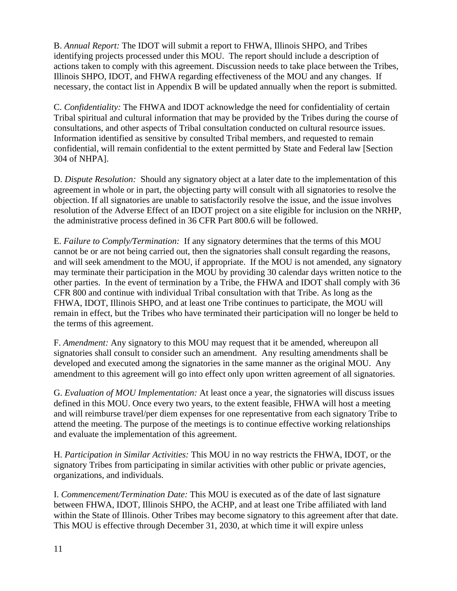B. *Annual Report:* The IDOT will submit a report to FHWA, Illinois SHPO, and Tribes identifying projects processed under this MOU. The report should include a description of actions taken to comply with this agreement. Discussion needs to take place between the Tribes, Illinois SHPO, IDOT, and FHWA regarding effectiveness of the MOU and any changes. If necessary, the contact list in Appendix B will be updated annually when the report is submitted.

C. *Confidentiality:* The FHWA and IDOT acknowledge the need for confidentiality of certain Tribal spiritual and cultural information that may be provided by the Tribes during the course of consultations, and other aspects of Tribal consultation conducted on cultural resource issues. Information identified as sensitive by consulted Tribal members, and requested to remain confidential, will remain confidential to the extent permitted by State and Federal law [Section 304 of NHPA].

D. *Dispute Resolution:* Should any signatory object at a later date to the implementation of this agreement in whole or in part, the objecting party will consult with all signatories to resolve the objection. If all signatories are unable to satisfactorily resolve the issue, and the issue involves resolution of the Adverse Effect of an IDOT project on a site eligible for inclusion on the NRHP, the administrative process defined in 36 CFR Part 800.6 will be followed.

E. *Failure to Comply/Termination:* If any signatory determines that the terms of this MOU cannot be or are not being carried out, then the signatories shall consult regarding the reasons, and will seek amendment to the MOU, if appropriate. If the MOU is not amended, any signatory may terminate their participation in the MOU by providing 30 calendar days written notice to the other parties. In the event of termination by a Tribe, the FHWA and IDOT shall comply with 36 CFR 800 and continue with individual Tribal consultation with that Tribe. As long as the FHWA, IDOT, Illinois SHPO, and at least one Tribe continues to participate, the MOU will remain in effect, but the Tribes who have terminated their participation will no longer be held to the terms of this agreement.

F. *Amendment:* Any signatory to this MOU may request that it be amended, whereupon all signatories shall consult to consider such an amendment. Any resulting amendments shall be developed and executed among the signatories in the same manner as the original MOU. Any amendment to this agreement will go into effect only upon written agreement of all signatories.

G. *Evaluation of MOU Implementation:* At least once a year, the signatories will discuss issues defined in this MOU. Once every two years, to the extent feasible, FHWA will host a meeting and will reimburse travel/per diem expenses for one representative from each signatory Tribe to attend the meeting. The purpose of the meetings is to continue effective working relationships and evaluate the implementation of this agreement.

H. *Participation in Similar Activities:* This MOU in no way restricts the FHWA, IDOT, or the signatory Tribes from participating in similar activities with other public or private agencies, organizations, and individuals.

I. *Commencement/Termination Date:* This MOU is executed as of the date of last signature between FHWA, IDOT, Illinois SHPO, the ACHP, and at least one Tribe affiliated with land within the State of Illinois. Other Tribes may become signatory to this agreement after that date. This MOU is effective through December 31, 2030, at which time it will expire unless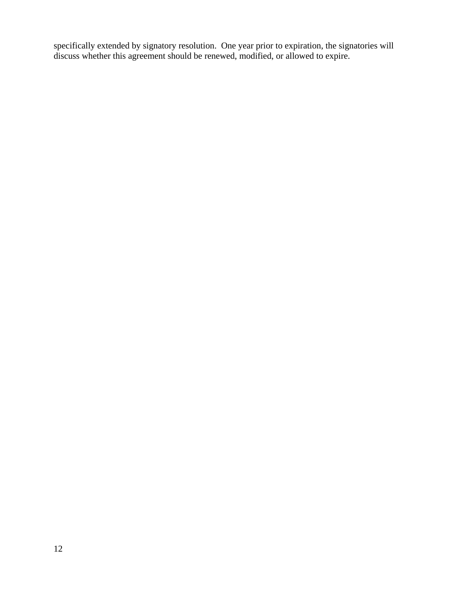specifically extended by signatory resolution. One year prior to expiration, the signatories will discuss whether this agreement should be renewed, modified, or allowed to expire.